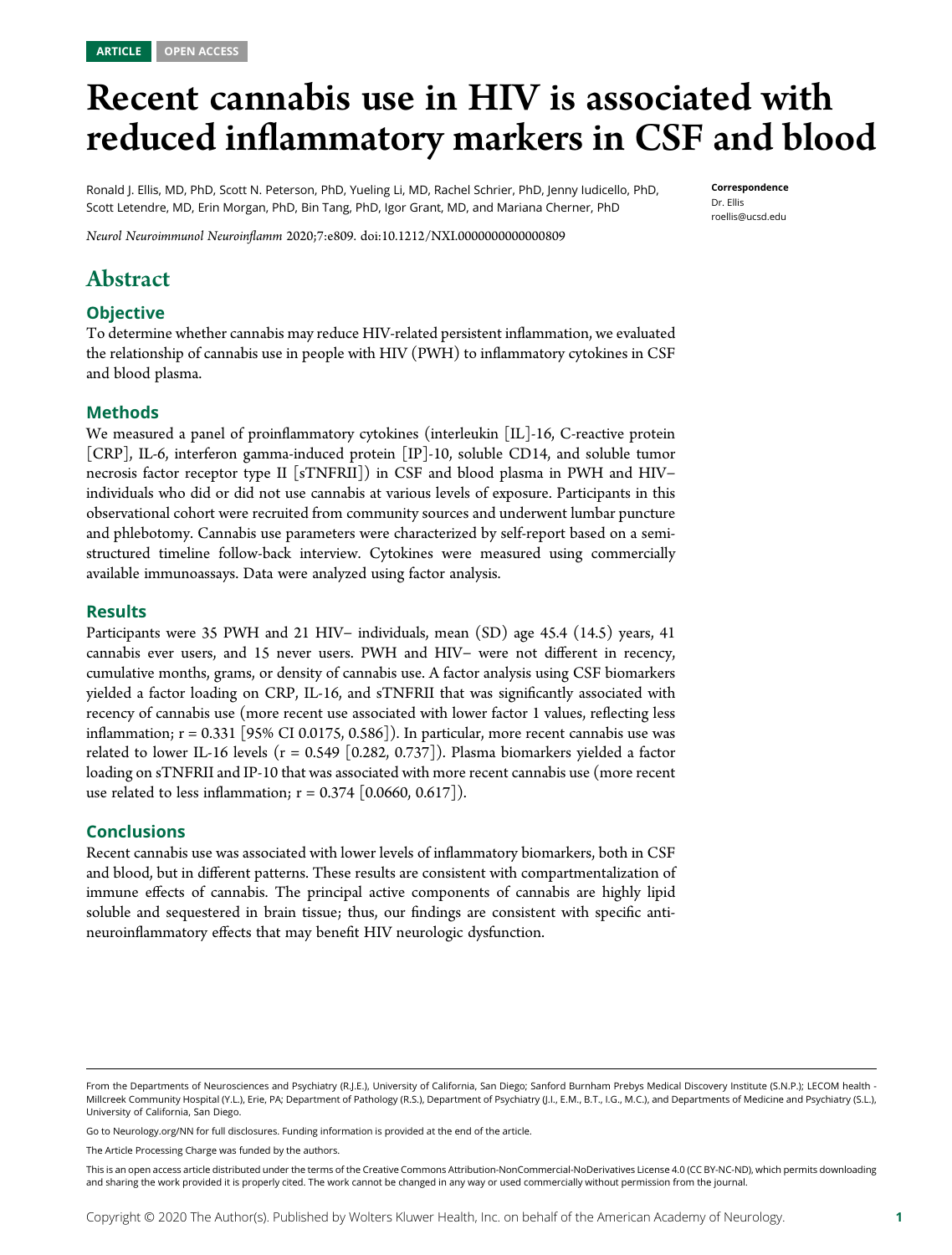# Recent cannabis use in HIV is associated with reduced inflammatory markers in CSF and blood

Ronald J. Ellis, MD, PhD, Scott N. Peterson, PhD, Yueling Li, MD, Rachel Schrier, PhD, Jenny Iudicello, PhD, Scott Letendre, MD, Erin Morgan, PhD, Bin Tang, PhD, Igor Grant, MD, and Mariana Cherner, PhD

Correspondence Dr. Ellis [roellis@ucsd.edu](mailto:roellis@ucsd.edu)

Neurol Neuroimmunol Neuroinflamm 2020;7:e809. doi[:10.1212/NXI.0000000000000809](http://dx.doi.org/10.1212/NXI.0000000000000809)

# Abstract

#### **Objective**

To determine whether cannabis may reduce HIV-related persistent inflammation, we evaluated the relationship of cannabis use in people with HIV (PWH) to inflammatory cytokines in CSF and blood plasma.

#### Methods

We measured a panel of proinflammatory cytokines (interleukin [IL]-16, C-reactive protein [CRP], IL-6, interferon gamma-induced protein [IP]-10, soluble CD14, and soluble tumor necrosis factor receptor type II [sTNFRII]) in CSF and blood plasma in PWH and HIV− individuals who did or did not use cannabis at various levels of exposure. Participants in this observational cohort were recruited from community sources and underwent lumbar puncture and phlebotomy. Cannabis use parameters were characterized by self-report based on a semistructured timeline follow-back interview. Cytokines were measured using commercially available immunoassays. Data were analyzed using factor analysis.

#### Results

Participants were 35 PWH and 21 HIV− individuals, mean (SD) age 45.4 (14.5) years, 41 cannabis ever users, and 15 never users. PWH and HIV− were not different in recency, cumulative months, grams, or density of cannabis use. A factor analysis using CSF biomarkers yielded a factor loading on CRP, IL-16, and sTNFRII that was significantly associated with recency of cannabis use (more recent use associated with lower factor 1 values, reflecting less inflammation;  $r = 0.331$  [95% CI 0.0175, 0.586]). In particular, more recent cannabis use was related to lower IL-16 levels ( $r = 0.549$  [0.282, 0.737]). Plasma biomarkers yielded a factor loading on sTNFRII and IP-10 that was associated with more recent cannabis use (more recent use related to less inflammation;  $r = 0.374$  [0.0660, 0.617]).

#### Conclusions

Recent cannabis use was associated with lower levels of inflammatory biomarkers, both in CSF and blood, but in different patterns. These results are consistent with compartmentalization of immune effects of cannabis. The principal active components of cannabis are highly lipid soluble and sequestered in brain tissue; thus, our findings are consistent with specific antineuroinflammatory effects that may benefit HIV neurologic dysfunction.

Go to [Neurology.org/NN](https://nn.neurology.org/content/7/5/e809/tab-article-info) for full disclosures. Funding information is provided at the end of the article.

The Article Processing Charge was funded by the authors.

From the Departments of Neurosciences and Psychiatry (R.J.E.), University of California, San Diego; Sanford Burnham Prebys Medical Discovery Institute (S.N.P.); LECOM health - Millcreek Community Hospital (Y.L.), Erie, PA; Department of Pathology (R.S.), Department of Psychiatry (J.I., E.M., B.T., I.G., M.C.), and Departments of Medicine and Psychiatry (S.L.), University of California, San Diego.

This is an open access article distributed under the terms of the [Creative Commons Attribution-NonCommercial-NoDerivatives License 4.0 \(CC BY-NC-ND\),](http://creativecommons.org/licenses/by-nc-nd/4.0/) which permits downloading and sharing the work provided it is properly cited. The work cannot be changed in any way or used commercially without permission from the journal.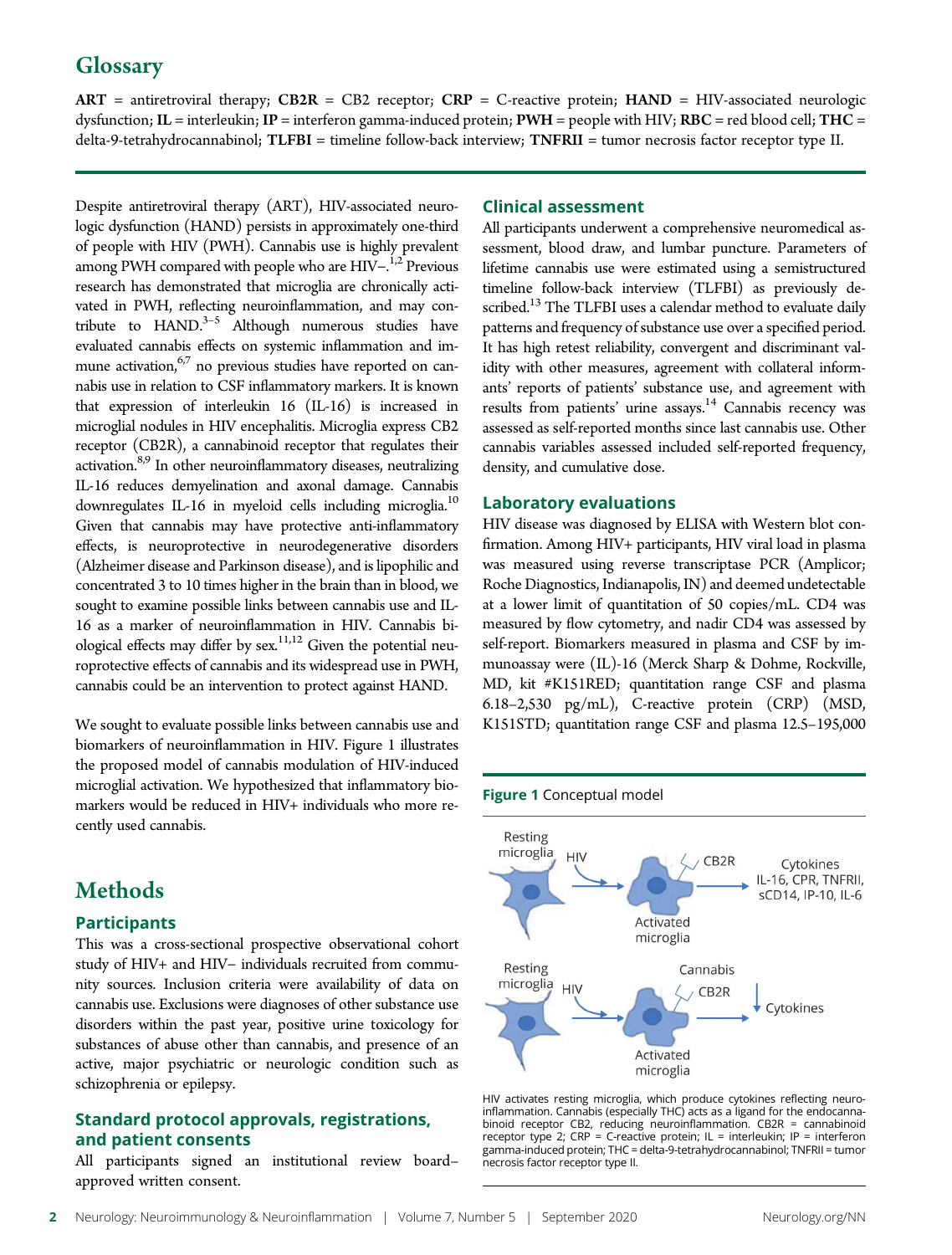# **Glossary**

 $ART = antiretroviral therapy; CB2R = CB2 receptor; CRP = C-reactive protein; HAND = HIV-associated neurologic$ dysfunction; IL = interleukin; IP = interferon gamma-induced protein; PWH = people with HIV; RBC = red blood cell; THC = delta-9-tetrahydrocannabinol; TLFBI = timeline follow-back interview; TNFRII = tumor necrosis factor receptor type II.

Despite antiretroviral therapy (ART), HIV-associated neurologic dysfunction (HAND) persists in approximately one-third of people with HIV (PWH). Cannabis use is highly prevalent among PWH compared with people who are HIV<sup>-1,2</sup> Previous research has demonstrated that microglia are chronically activated in PWH, reflecting neuroinflammation, and may contribute to  $HAND.<sup>3-5</sup>$  Although numerous studies have evaluated cannabis effects on systemic inflammation and immune activation, $6,7$  no previous studies have reported on cannabis use in relation to CSF inflammatory markers. It is known that expression of interleukin 16 (IL-16) is increased in microglial nodules in HIV encephalitis. Microglia express CB2 receptor (CB2R), a cannabinoid receptor that regulates their activation.<sup>8,9</sup> In other neuroinflammatory diseases, neutralizing IL-16 reduces demyelination and axonal damage. Cannabis downregulates IL-16 in myeloid cells including microglia.<sup>10</sup> Given that cannabis may have protective anti-inflammatory effects, is neuroprotective in neurodegenerative disorders (Alzheimer disease and Parkinson disease), and is lipophilic and concentrated 3 to 10 times higher in the brain than in blood, we sought to examine possible links between cannabis use and IL-16 as a marker of neuroinflammation in HIV. Cannabis biological effects may differ by  $sex.$ <sup>11,12</sup> Given the potential neuroprotective effects of cannabis and its widespread use in PWH, cannabis could be an intervention to protect against HAND.

We sought to evaluate possible links between cannabis use and biomarkers of neuroinflammation in HIV. Figure 1 illustrates the proposed model of cannabis modulation of HIV-induced microglial activation. We hypothesized that inflammatory biomarkers would be reduced in HIV+ individuals who more recently used cannabis.

# **Methods**

#### **Participants**

This was a cross-sectional prospective observational cohort study of HIV+ and HIV− individuals recruited from community sources. Inclusion criteria were availability of data on cannabis use. Exclusions were diagnoses of other substance use disorders within the past year, positive urine toxicology for substances of abuse other than cannabis, and presence of an active, major psychiatric or neurologic condition such as schizophrenia or epilepsy.

#### Standard protocol approvals, registrations, and patient consents

All participants signed an institutional review board– approved written consent.

#### Clinical assessment

All participants underwent a comprehensive neuromedical assessment, blood draw, and lumbar puncture. Parameters of lifetime cannabis use were estimated using a semistructured timeline follow-back interview (TLFBI) as previously described.<sup>13</sup> The TLFBI uses a calendar method to evaluate daily patterns and frequency of substance use over a specified period. It has high retest reliability, convergent and discriminant validity with other measures, agreement with collateral informants' reports of patients' substance use, and agreement with results from patients' urine assays.<sup>14</sup> Cannabis recency was assessed as self-reported months since last cannabis use. Other cannabis variables assessed included self-reported frequency, density, and cumulative dose.

#### Laboratory evaluations

HIV disease was diagnosed by ELISA with Western blot confirmation. Among HIV+ participants, HIV viral load in plasma was measured using reverse transcriptase PCR (Amplicor; Roche Diagnostics, Indianapolis, IN) and deemed undetectable at a lower limit of quantitation of 50 copies/mL. CD4 was measured by flow cytometry, and nadir CD4 was assessed by self-report. Biomarkers measured in plasma and CSF by immunoassay were (IL)-16 (Merck Sharp & Dohme, Rockville, MD, kit #K151RED; quantitation range CSF and plasma 6.18–2,530 pg/mL), C-reactive protein (CRP) (MSD, K151STD; quantitation range CSF and plasma 12.5–195,000

#### Figure 1 Conceptual model



HIV activates resting microglia, which produce cytokines reflecting neuroinflammation. Cannabis (especially THC) acts as a ligand for the endocannabinoid receptor CB2, reducing neuroinflammation. CB2R = cannabinoid receptor type 2; CRP = C-reactive protein; IL = interleukin; IP = interferon gamma-induced protein; THC = delta-9-tetrahydrocannabinol; TNFRII = tumor necrosis factor receptor type II.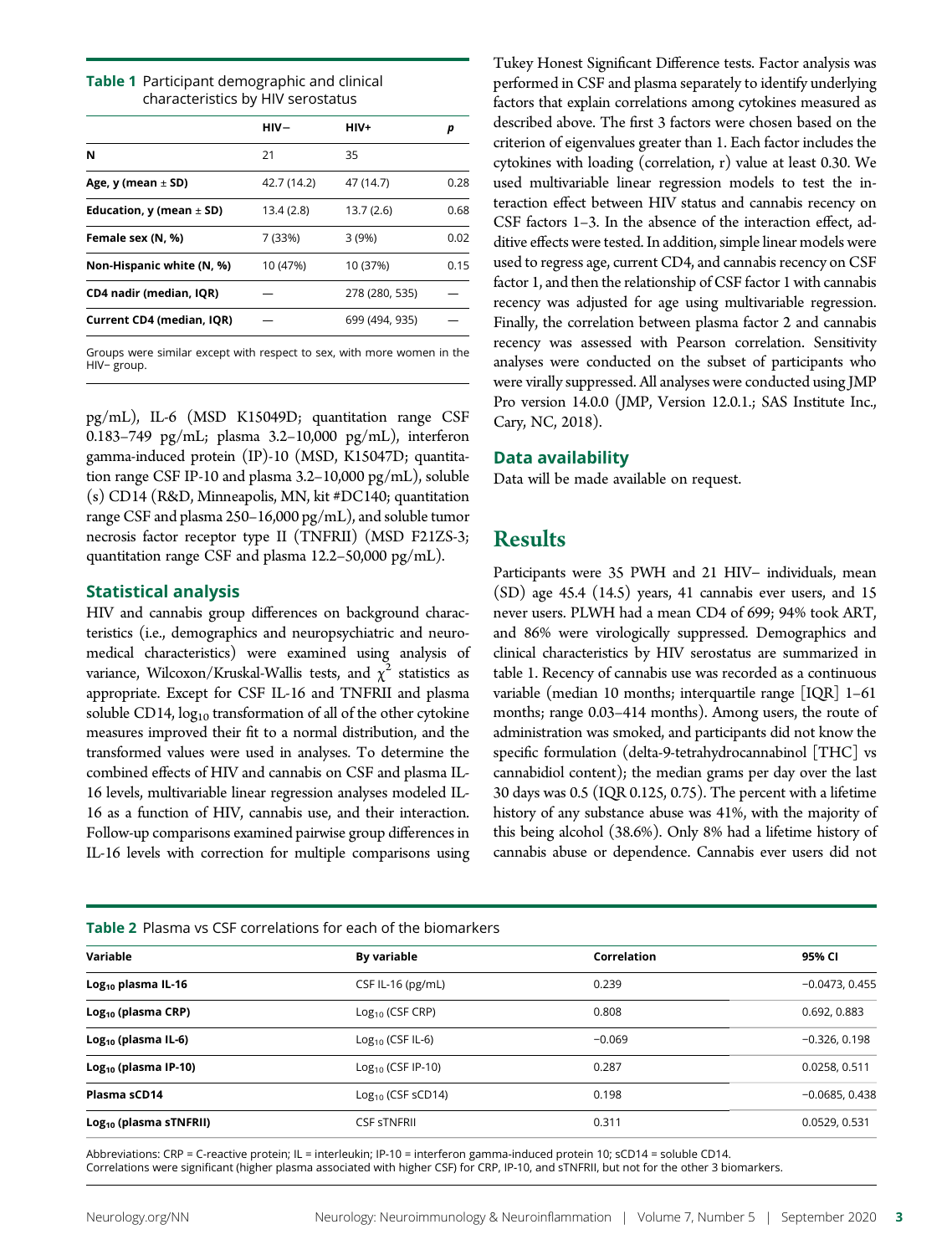#### Table 1 Participant demographic and clinical characteristics by HIV serostatus

|                              | $HIV-$      | HIV+           | р    |
|------------------------------|-------------|----------------|------|
| N                            | 21          | 35             |      |
| Age, y (mean $\pm$ SD)       | 42.7 (14.2) | 47 (14.7)      | 0.28 |
| Education, y (mean $\pm$ SD) | 13.4 (2.8)  | 13.7(2.6)      | 0.68 |
| Female sex (N, %)            | 7 (33%)     | 3(9%)          | 0.02 |
| Non-Hispanic white (N, %)    | 10 (47%)    | 10 (37%)       | 0.15 |
| CD4 nadir (median, IQR)      |             | 278 (280, 535) |      |
| Current CD4 (median, IQR)    |             | 699 (494, 935) |      |

Groups were similar except with respect to sex, with more women in the HIV− group.

pg/mL), IL-6 (MSD K15049D; quantitation range CSF 0.183–749 pg/mL; plasma 3.2–10,000 pg/mL), interferon gamma-induced protein (IP)-10 (MSD, K15047D; quantitation range CSF IP-10 and plasma 3.2–10,000 pg/mL), soluble (s) CD14 (R&D, Minneapolis, MN, kit #DC140; quantitation range CSF and plasma 250–16,000 pg/mL), and soluble tumor necrosis factor receptor type II (TNFRII) (MSD F21ZS-3; quantitation range CSF and plasma 12.2–50,000 pg/mL).

#### Statistical analysis

HIV and cannabis group differences on background characteristics (i.e., demographics and neuropsychiatric and neuromedical characteristics) were examined using analysis of variance, Wilcoxon/Kruskal-Wallis tests, and  $\chi^2$  statistics as appropriate. Except for CSF IL-16 and TNFRII and plasma soluble CD14,  $log_{10}$  transformation of all of the other cytokine measures improved their fit to a normal distribution, and the transformed values were used in analyses. To determine the combined effects of HIV and cannabis on CSF and plasma IL-16 levels, multivariable linear regression analyses modeled IL-16 as a function of HIV, cannabis use, and their interaction. Follow-up comparisons examined pairwise group differences in IL-16 levels with correction for multiple comparisons using

Tukey Honest Significant Difference tests. Factor analysis was performed in CSF and plasma separately to identify underlying factors that explain correlations among cytokines measured as described above. The first 3 factors were chosen based on the criterion of eigenvalues greater than 1. Each factor includes the cytokines with loading (correlation, r) value at least 0.30. We used multivariable linear regression models to test the interaction effect between HIV status and cannabis recency on CSF factors 1–3. In the absence of the interaction effect, additive effects were tested. In addition, simple linear models were used to regress age, current CD4, and cannabis recency on CSF factor 1, and then the relationship of CSF factor 1 with cannabis recency was adjusted for age using multivariable regression. Finally, the correlation between plasma factor 2 and cannabis recency was assessed with Pearson correlation. Sensitivity analyses were conducted on the subset of participants who were virally suppressed. All analyses were conducted using JMP Pro version 14.0.0 (JMP, Version 12.0.1.; SAS Institute Inc., Cary, NC, 2018).

#### Data availability

Data will be made available on request.

## Results

Participants were 35 PWH and 21 HIV- individuals, mean (SD) age 45.4 (14.5) years, 41 cannabis ever users, and 15 never users. PLWH had a mean CD4 of 699; 94% took ART, and 86% were virologically suppressed. Demographics and clinical characteristics by HIV serostatus are summarized in table 1. Recency of cannabis use was recorded as a continuous variable (median 10 months; interquartile range [IQR] 1–61 months; range 0.03–414 months). Among users, the route of administration was smoked, and participants did not know the specific formulation (delta-9-tetrahydrocannabinol [THC] vs cannabidiol content); the median grams per day over the last 30 days was 0.5 (IQR 0.125, 0.75). The percent with a lifetime history of any substance abuse was 41%, with the majority of this being alcohol (38.6%). Only 8% had a lifetime history of cannabis abuse or dependence. Cannabis ever users did not

| <b>Table 2</b> Plasma vs CSF correlations for each of the biomarkers |                       |             |                  |  |
|----------------------------------------------------------------------|-----------------------|-------------|------------------|--|
| Variable                                                             | <b>By variable</b>    | Correlation | 95% CI           |  |
| $Log10$ plasma IL-16                                                 | CSF IL-16 ( $pg/mL$ ) | 0.239       | $-0.0473, 0.455$ |  |
| $Log10$ (plasma CRP)                                                 | $Log10$ (CSF CRP)     | 0.808       | 0.692, 0.883     |  |
| $Log10$ (plasma IL-6)                                                | $Log10$ (CSF IL-6)    | $-0.069$    | $-0.326.0.198$   |  |
| $Log10$ (plasma IP-10)                                               | $Log10$ (CSF IP-10)   | 0.287       | 0.0258, 0.511    |  |
| Plasma sCD14                                                         | $Log10$ (CSF sCD14)   | 0.198       | $-0.0685, 0.438$ |  |
| $Log_{10}$ (plasma sTNFRII)                                          | <b>CSF STNFRII</b>    | 0.311       | 0.0529, 0.531    |  |

Abbreviations: CRP = C-reactive protein; IL = interleukin; IP-10 = interferon gamma-induced protein 10; sCD14 = soluble CD14. Correlations were significant (higher plasma associated with higher CSF) for CRP, IP-10, and sTNFRII, but not for the other 3 biomarkers.

#### Table 2 Plasma vs CSF correlations for each of the biomarkers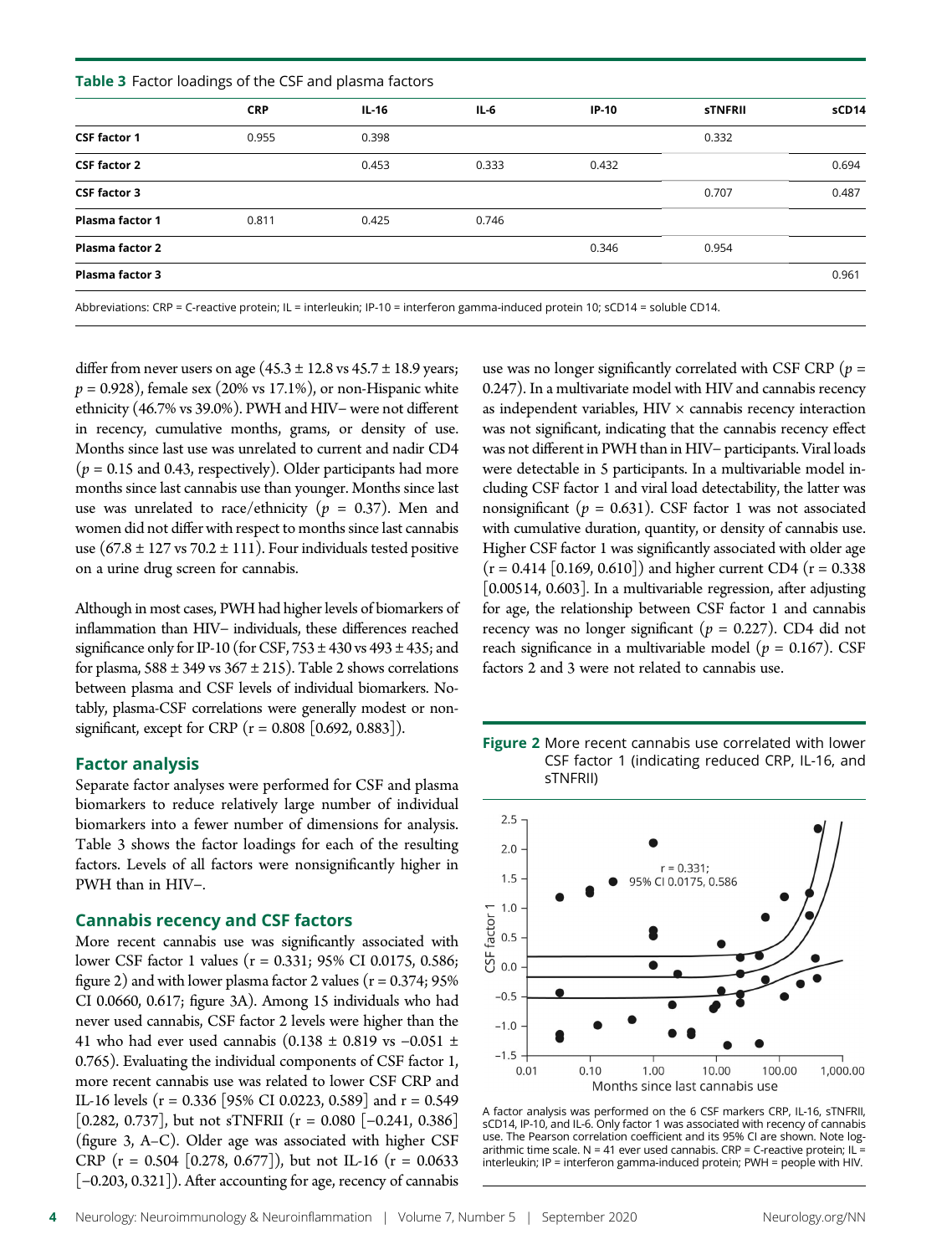| Table 3 Factor loadings of the CSF and plasma factors |            |         |        |         |                |       |
|-------------------------------------------------------|------------|---------|--------|---------|----------------|-------|
|                                                       | <b>CRP</b> | $IL-16$ | $IL-6$ | $IP-10$ | <b>STNFRII</b> | sCD14 |
| <b>CSF factor 1</b>                                   | 0.955      | 0.398   |        |         | 0.332          |       |
| <b>CSF factor 2</b>                                   |            | 0.453   | 0.333  | 0.432   |                | 0.694 |
| <b>CSF factor 3</b>                                   |            |         |        |         | 0.707          | 0.487 |
| Plasma factor 1                                       | 0.811      | 0.425   | 0.746  |         |                |       |
| Plasma factor 2                                       |            |         |        | 0.346   | 0.954          |       |
| Plasma factor 3                                       |            |         |        |         |                | 0.961 |
|                                                       |            |         |        |         |                |       |

Abbreviations: CRP = C-reactive protein; IL = interleukin; IP-10 = interferon gamma-induced protein 10; sCD14 = soluble CD14.

differ from never users on age  $(45.3 \pm 12.8 \text{ vs } 45.7 \pm 18.9 \text{ years})$  $p = 0.928$ , female sex (20% vs 17.1%), or non-Hispanic white ethnicity (46.7% vs 39.0%). PWH and HIV− were not different in recency, cumulative months, grams, or density of use. Months since last use was unrelated to current and nadir CD4  $(p = 0.15$  and 0.43, respectively). Older participants had more months since last cannabis use than younger. Months since last use was unrelated to race/ethnicity ( $p = 0.37$ ). Men and women did not differ with respect to months since last cannabis use  $(67.8 \pm 127 \text{ vs } 70.2 \pm 111)$ . Four individuals tested positive on a urine drug screen for cannabis.

Although in most cases, PWH had higher levels of biomarkers of inflammation than HIV− individuals, these differences reached significance only for IP-10 (for CSF,  $753 \pm 430$  vs  $493 \pm 435$ ; and for plasma,  $588 \pm 349$  vs  $367 \pm 215$ ). Table 2 shows correlations between plasma and CSF levels of individual biomarkers. Notably, plasma-CSF correlations were generally modest or nonsignificant, except for CRP ( $r = 0.808$  [0.692, 0.883]).

#### Factor analysis

Separate factor analyses were performed for CSF and plasma biomarkers to reduce relatively large number of individual biomarkers into a fewer number of dimensions for analysis. Table 3 shows the factor loadings for each of the resulting factors. Levels of all factors were nonsignificantly higher in PWH than in HIV−.

#### Cannabis recency and CSF factors

More recent cannabis use was significantly associated with lower CSF factor 1 values (r = 0.331; 95% CI 0.0175, 0.586; figure 2) and with lower plasma factor 2 values  $(r = 0.374; 95\%)$ CI 0.0660, 0.617; figure 3A). Among 15 individuals who had never used cannabis, CSF factor 2 levels were higher than the 41 who had ever used cannabis (0.138 ± 0.819 vs −0.051 ± 0.765). Evaluating the individual components of CSF factor 1, more recent cannabis use was related to lower CSF CRP and IL-16 levels (r = 0.336 [95% CI 0.0223, 0.589] and r = 0.549 [0.282, 0.737], but not sTNFRII (r = 0.080 [−0.241, 0.386] (figure 3, A–C). Older age was associated with higher CSF CRP ( $r = 0.504$  [0.278, 0.677]), but not IL-16 ( $r = 0.0633$ ) [-0.203, 0.321]). After accounting for age, recency of cannabis use was no longer significantly correlated with CSF CRP ( $p =$ 0.247). In a multivariate model with HIV and cannabis recency as independent variables,  $HIV \times$  cannabis recency interaction was not significant, indicating that the cannabis recency effect was not different in PWH than in HIV− participants. Viral loads were detectable in 5 participants. In a multivariable model including CSF factor 1 and viral load detectability, the latter was nonsignificant ( $p = 0.631$ ). CSF factor 1 was not associated with cumulative duration, quantity, or density of cannabis use. Higher CSF factor 1 was significantly associated with older age  $(r = 0.414 [0.169, 0.610])$  and higher current CD4  $(r = 0.338)$ [0.00514, 0.603]. In a multivariable regression, after adjusting for age, the relationship between CSF factor 1 and cannabis recency was no longer significant ( $p = 0.227$ ). CD4 did not reach significance in a multivariable model ( $p = 0.167$ ). CSF factors 2 and 3 were not related to cannabis use.

Figure 2 More recent cannabis use correlated with lower CSF factor 1 (indicating reduced CRP, IL-16, and sTNFRII)



A factor analysis was performed on the 6 CSF markers CRP, IL-16, sTNFRII, sCD14, IP-10, and IL-6. Only factor 1 was associated with recency of cannabis use. The Pearson correlation coefficient and its 95% CI are shown. Note logarithmic time scale. N = 41 ever used cannabis. CRP = C-reactive protein; IL = interleukin; IP = interferon gamma-induced protein; PWH = people with HIV.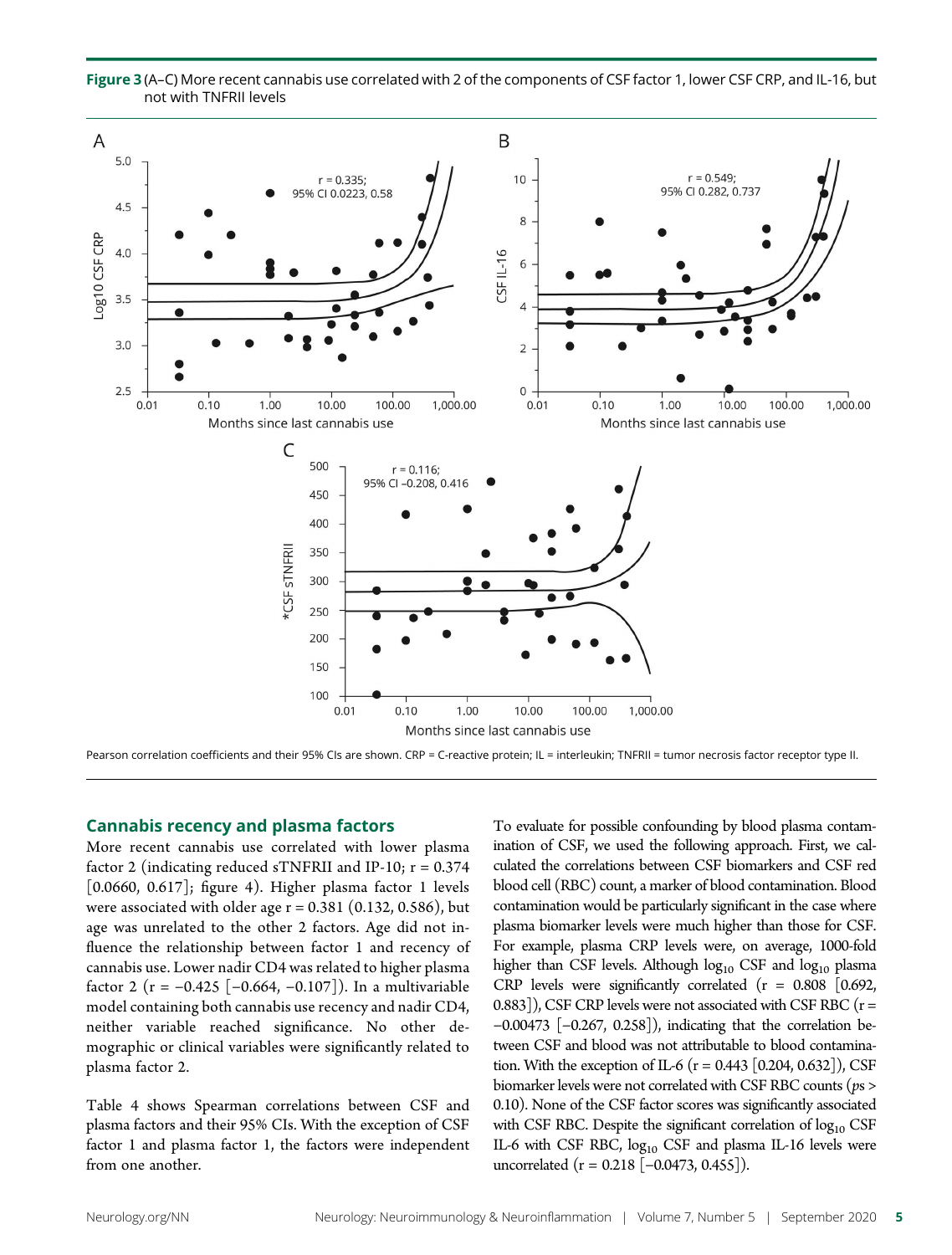

Figure 3 (A–C) More recent cannabis use correlated with 2 of the components of CSF factor 1, lower CSF CRP, and IL-16, but not with TNFRII levels

Pearson correlation coefficients and their 95% CIs are shown. CRP = C-reactive protein; IL = interleukin; TNFRII = tumor necrosis factor receptor type II.

#### Cannabis recency and plasma factors

More recent cannabis use correlated with lower plasma factor 2 (indicating reduced sTNFRII and IP-10;  $r = 0.374$ [0.0660, 0.617]; figure 4). Higher plasma factor 1 levels were associated with older age  $r = 0.381$  (0.132, 0.586), but age was unrelated to the other 2 factors. Age did not influence the relationship between factor 1 and recency of cannabis use. Lower nadir CD4 was related to higher plasma factor 2 (r =  $-0.425$  [ $-0.664$ ,  $-0.107$ ]). In a multivariable model containing both cannabis use recency and nadir CD4, neither variable reached significance. No other demographic or clinical variables were significantly related to plasma factor 2.

Table 4 shows Spearman correlations between CSF and plasma factors and their 95% CIs. With the exception of CSF factor 1 and plasma factor 1, the factors were independent from one another.

To evaluate for possible confounding by blood plasma contamination of CSF, we used the following approach. First, we calculated the correlations between CSF biomarkers and CSF red blood cell (RBC) count, a marker of blood contamination. Blood contamination would be particularly significant in the case where plasma biomarker levels were much higher than those for CSF. For example, plasma CRP levels were, on average, 1000-fold higher than CSF levels. Although  $log_{10}$  CSF and  $log_{10}$  plasma CRP levels were significantly correlated  $(r = 0.808 \; [0.692,$ 0.883]), CSF CRP levels were not associated with CSF RBC ( $r =$ −0.00473 [−0.267, 0.258]), indicating that the correlation between CSF and blood was not attributable to blood contamination. With the exception of IL-6 ( $r = 0.443$  [0.204, 0.632]), CSF biomarker levels were not correlated with CSF RBC counts (ps > 0.10). None of the CSF factor scores was significantly associated with CSF RBC. Despite the significant correlation of log<sub>10</sub> CSF IL-6 with CSF RBC, log<sub>10</sub> CSF and plasma IL-16 levels were uncorrelated ( $r = 0.218$  [-0.0473, 0.455]).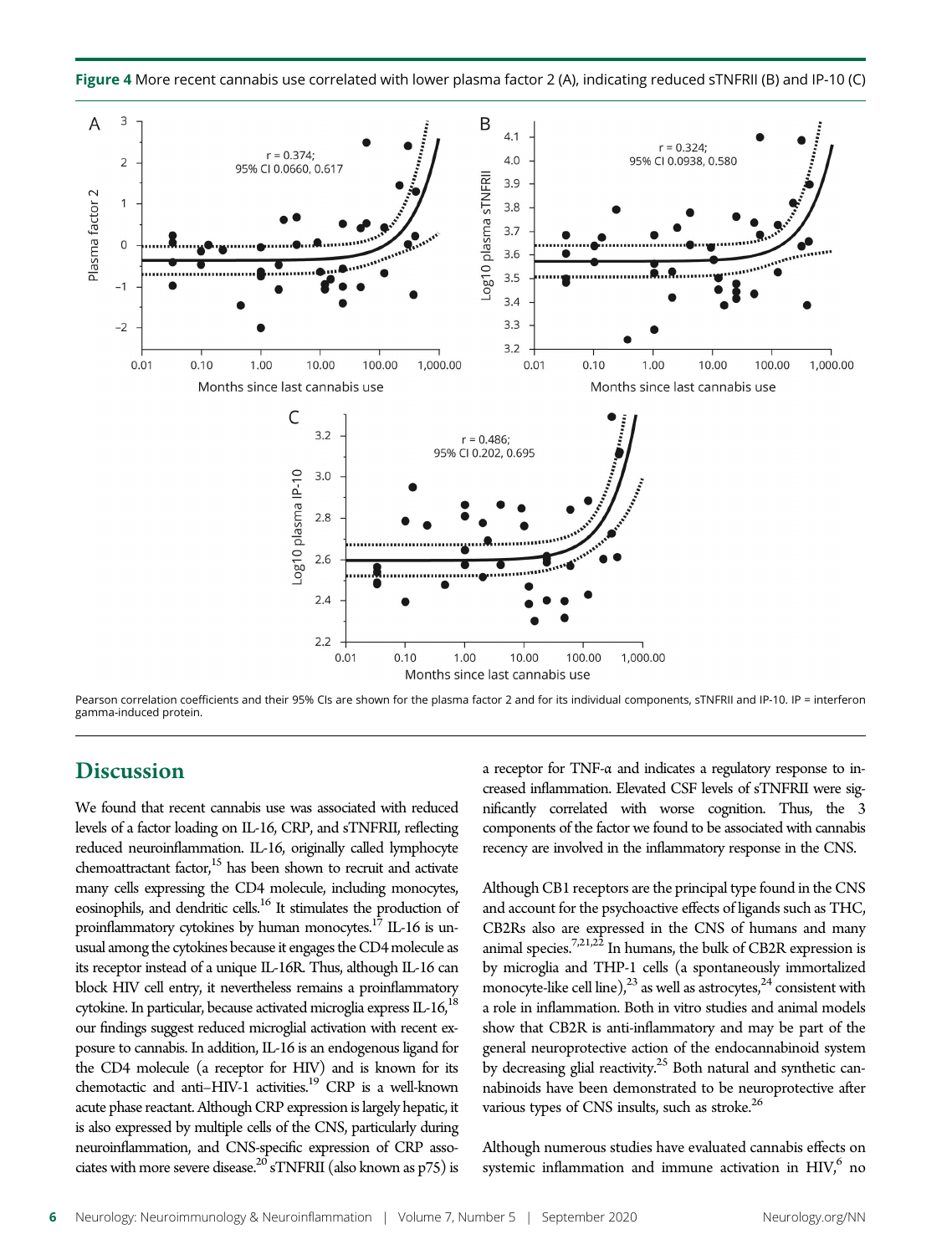



Pearson correlation coefficients and their 95% CIs are shown for the plasma factor 2 and for its individual components, sTNFRII and IP-10. IP = interferon gamma-induced protein.

## **Discussion**

We found that recent cannabis use was associated with reduced levels of a factor loading on IL-16, CRP, and sTNFRII, reflecting reduced neuroinflammation. IL-16, originally called lymphocyte chemoattractant factor, $15$  has been shown to recruit and activate many cells expressing the CD4 molecule, including monocytes, eosinophils, and dendritic cells.16 It stimulates the production of proinflammatory cytokines by human monocytes.<sup>17</sup> IL-16 is unusual among the cytokines because it engages the CD4 molecule as its receptor instead of a unique IL-16R. Thus, although IL-16 can block HIV cell entry, it nevertheless remains a proinflammatory cytokine. In particular, because activated microglia express  $IL-16$ ,  $18$ our findings suggest reduced microglial activation with recent exposure to cannabis. In addition, IL-16 is an endogenous ligand for the CD4 molecule (a receptor for HIV) and is known for its chemotactic and anti-HIV-1 activities.<sup>19</sup> CRP is a well-known acute phase reactant. Although CRP expression is largely hepatic, it is also expressed by multiple cells of the CNS, particularly during neuroinflammation, and CNS-specific expression of CRP associates with more severe disease.<sup>20</sup> sTNFRII (also known as  $p75$ ) is

a receptor for TNF-α and indicates a regulatory response to increased inflammation. Elevated CSF levels of sTNFRII were significantly correlated with worse cognition. Thus, the 3 components of the factor we found to be associated with cannabis recency are involved in the inflammatory response in the CNS.

Although CB1 receptors are the principal type found in the CNS and account for the psychoactive effects of ligands such as THC, CB2Rs also are expressed in the CNS of humans and many  $\frac{1}{2}$ animal species.<sup>7,21,22</sup> In humans, the bulk of CB2R expression is by microglia and THP-1 cells (a spontaneously immortalized monocyte-like cell line),<sup>23</sup> as well as astrocytes,<sup>24</sup> consistent with a role in inflammation. Both in vitro studies and animal models show that CB2R is anti-inflammatory and may be part of the general neuroprotective action of the endocannabinoid system by decreasing glial reactivity. $25$  Both natural and synthetic cannabinoids have been demonstrated to be neuroprotective after various types of CNS insults, such as stroke.<sup>26</sup>

Although numerous studies have evaluated cannabis effects on systemic inflammation and immune activation in  $HIV$ , no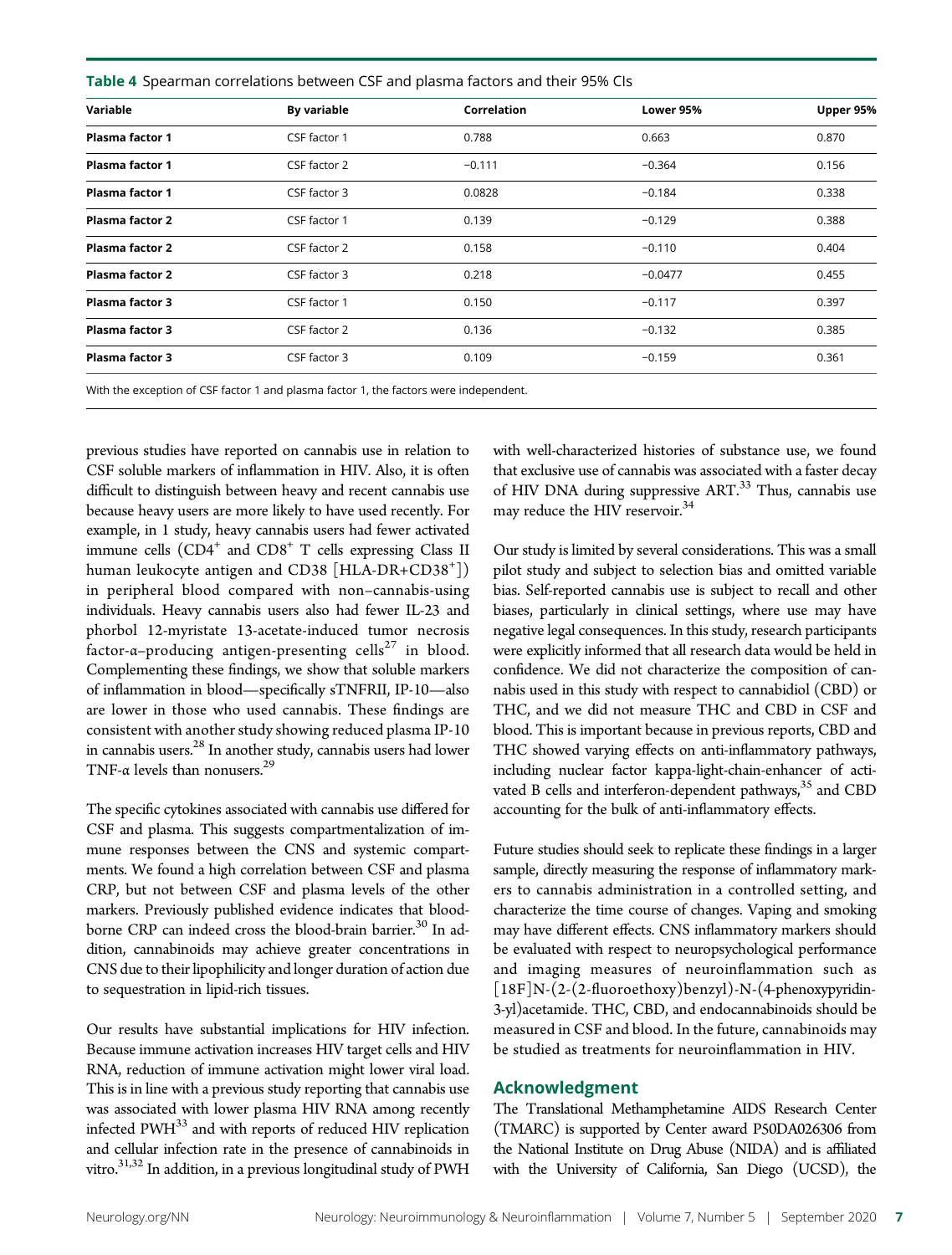Table 4 Spearman correlations between CSF and plasma factors and their 95% CIs

| Variable               | By variable  | Correlation | Lower 95% | Upper 95% |
|------------------------|--------------|-------------|-----------|-----------|
| Plasma factor 1        | CSF factor 1 | 0.788       | 0.663     | 0.870     |
| Plasma factor 1        | CSF factor 2 | $-0.111$    | $-0.364$  | 0.156     |
| <b>Plasma factor 1</b> | CSF factor 3 | 0.0828      | $-0.184$  | 0.338     |
| Plasma factor 2        | CSF factor 1 | 0.139       | $-0.129$  | 0.388     |
| Plasma factor 2        | CSF factor 2 | 0.158       | $-0.110$  | 0.404     |
| Plasma factor 2        | CSF factor 3 | 0.218       | $-0.0477$ | 0.455     |
| <b>Plasma factor 3</b> | CSF factor 1 | 0.150       | $-0.117$  | 0.397     |
| Plasma factor 3        | CSF factor 2 | 0.136       | $-0.132$  | 0.385     |
| Plasma factor 3        | CSF factor 3 | 0.109       | $-0.159$  | 0.361     |
|                        |              |             |           |           |

With the exception of CSF factor 1 and plasma factor 1, the factors were independent.

previous studies have reported on cannabis use in relation to CSF soluble markers of inflammation in HIV. Also, it is often difficult to distinguish between heavy and recent cannabis use because heavy users are more likely to have used recently. For example, in 1 study, heavy cannabis users had fewer activated immune cells  $(CD4^+$  and  $CD8^+$  T cells expressing Class II human leukocyte antigen and CD38 [HLA-DR+CD38<sup>+</sup> ]) in peripheral blood compared with non–cannabis-using individuals. Heavy cannabis users also had fewer IL-23 and phorbol 12-myristate 13-acetate-induced tumor necrosis factor- $\alpha$ –producing antigen-presenting cells<sup>27</sup> in blood. Complementing these findings, we show that soluble markers of inflammation in blood—specifically sTNFRII, IP-10—also are lower in those who used cannabis. These findings are consistent with another study showing reduced plasma IP-10 in cannabis users.28 In another study, cannabis users had lower TNF- $\alpha$  levels than nonusers.<sup>29</sup>

The specific cytokines associated with cannabis use differed for CSF and plasma. This suggests compartmentalization of immune responses between the CNS and systemic compartments. We found a high correlation between CSF and plasma CRP, but not between CSF and plasma levels of the other markers. Previously published evidence indicates that bloodborne CRP can indeed cross the blood-brain barrier.<sup>30</sup> In addition, cannabinoids may achieve greater concentrations in CNS due to their lipophilicity and longer duration of action due to sequestration in lipid-rich tissues.

Our results have substantial implications for HIV infection. Because immune activation increases HIV target cells and HIV RNA, reduction of immune activation might lower viral load. This is in line with a previous study reporting that cannabis use was associated with lower plasma HIV RNA among recently infected PWH<sup>33</sup> and with reports of reduced HIV replication and cellular infection rate in the presence of cannabinoids in vitro.<sup>31,32</sup> In addition, in a previous longitudinal study of PWH with well-characterized histories of substance use, we found that exclusive use of cannabis was associated with a faster decay of HIV DNA during suppressive ART.<sup>33</sup> Thus, cannabis use may reduce the HIV reservoir.<sup>34</sup>

Our study is limited by several considerations. This was a small pilot study and subject to selection bias and omitted variable bias. Self-reported cannabis use is subject to recall and other biases, particularly in clinical settings, where use may have negative legal consequences. In this study, research participants were explicitly informed that all research data would be held in confidence. We did not characterize the composition of cannabis used in this study with respect to cannabidiol (CBD) or THC, and we did not measure THC and CBD in CSF and blood. This is important because in previous reports, CBD and THC showed varying effects on anti-inflammatory pathways, including nuclear factor kappa-light-chain-enhancer of activated B cells and interferon-dependent pathways,<sup>35</sup> and CBD accounting for the bulk of anti-inflammatory effects.

Future studies should seek to replicate these findings in a larger sample, directly measuring the response of inflammatory markers to cannabis administration in a controlled setting, and characterize the time course of changes. Vaping and smoking may have different effects. CNS inflammatory markers should be evaluated with respect to neuropsychological performance and imaging measures of neuroinflammation such as [18F]N-(2-(2-fluoroethoxy)benzyl)-N-(4-phenoxypyridin-3-yl)acetamide. THC, CBD, and endocannabinoids should be measured in CSF and blood. In the future, cannabinoids may be studied as treatments for neuroinflammation in HIV.

#### Acknowledgment

The Translational Methamphetamine AIDS Research Center (TMARC) is supported by Center award P50DA026306 from the National Institute on Drug Abuse (NIDA) and is affiliated with the University of California, San Diego (UCSD), the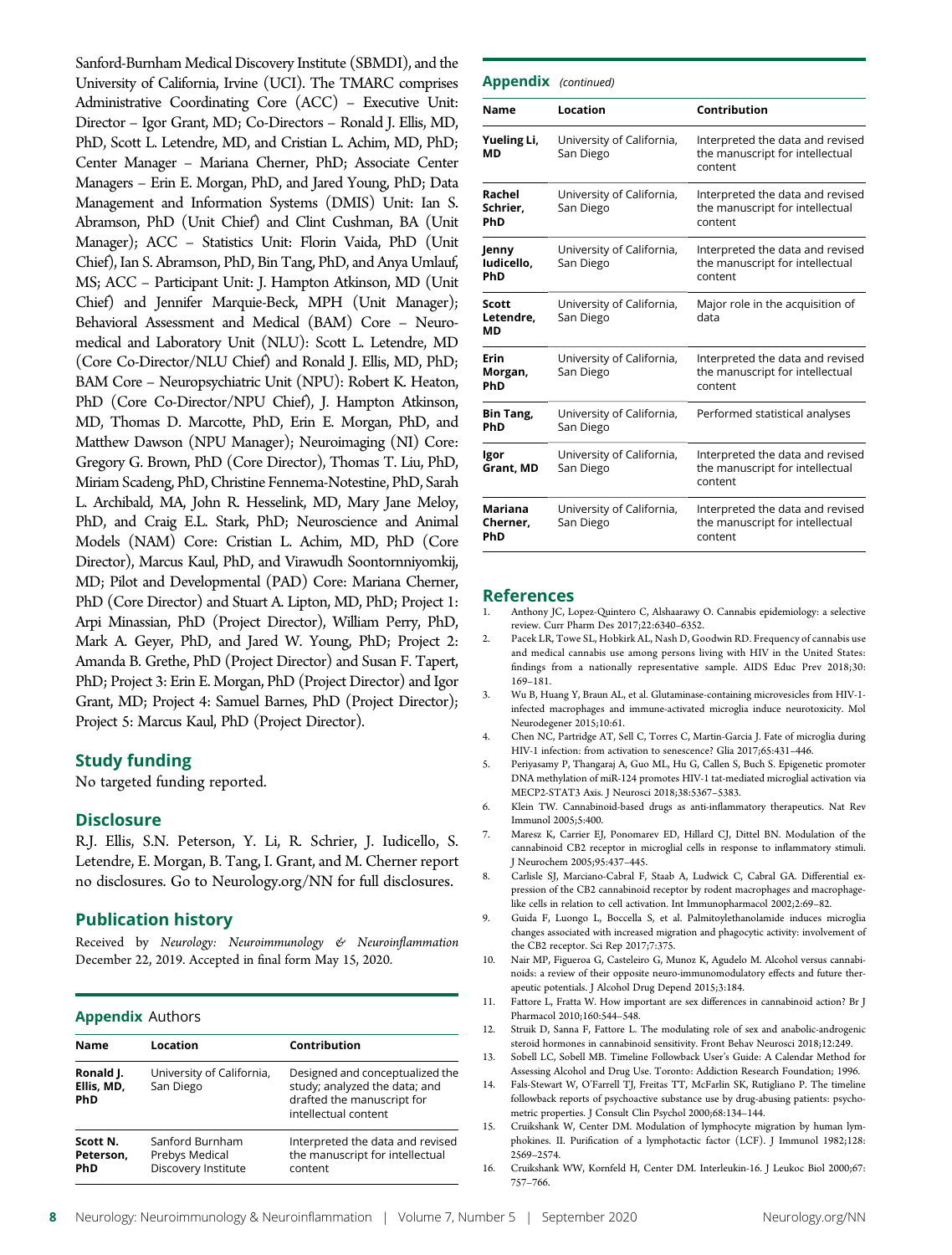Sanford-Burnham Medical Discovery Institute (SBMDI), and the University of California, Irvine (UCI). The TMARC comprises Administrative Coordinating Core (ACC) – Executive Unit: Director – Igor Grant, MD; Co-Directors – Ronald J. Ellis, MD, PhD, Scott L. Letendre, MD, and Cristian L. Achim, MD, PhD; Center Manager – Mariana Cherner, PhD; Associate Center Managers – Erin E. Morgan, PhD, and Jared Young, PhD; Data Management and Information Systems (DMIS) Unit: Ian S. Abramson, PhD (Unit Chief) and Clint Cushman, BA (Unit Manager); ACC – Statistics Unit: Florin Vaida, PhD (Unit Chief), Ian S. Abramson, PhD, Bin Tang, PhD, and Anya Umlauf, MS; ACC – Participant Unit: J. Hampton Atkinson, MD (Unit Chief) and Jennifer Marquie-Beck, MPH (Unit Manager); Behavioral Assessment and Medical (BAM) Core – Neuromedical and Laboratory Unit (NLU): Scott L. Letendre, MD (Core Co-Director/NLU Chief) and Ronald J. Ellis, MD, PhD; BAM Core – Neuropsychiatric Unit (NPU): Robert K. Heaton, PhD (Core Co-Director/NPU Chief), J. Hampton Atkinson, MD, Thomas D. Marcotte, PhD, Erin E. Morgan, PhD, and Matthew Dawson (NPU Manager); Neuroimaging (NI) Core: Gregory G. Brown, PhD (Core Director), Thomas T. Liu, PhD, Miriam Scadeng, PhD, Christine Fennema-Notestine, PhD, Sarah L. Archibald, MA, John R. Hesselink, MD, Mary Jane Meloy, PhD, and Craig E.L. Stark, PhD; Neuroscience and Animal Models (NAM) Core: Cristian L. Achim, MD, PhD (Core Director), Marcus Kaul, PhD, and Virawudh Soontornniyomkij, MD; Pilot and Developmental (PAD) Core: Mariana Cherner, PhD (Core Director) and Stuart A. Lipton, MD, PhD; Project 1: Arpi Minassian, PhD (Project Director), William Perry, PhD, Mark A. Geyer, PhD, and Jared W. Young, PhD; Project 2: Amanda B. Grethe, PhD (Project Director) and Susan F. Tapert, PhD; Project 3: Erin E. Morgan, PhD (Project Director) and Igor Grant, MD; Project 4: Samuel Barnes, PhD (Project Director); Project 5: Marcus Kaul, PhD (Project Director).

#### Study funding

No targeted funding reported.

#### **Disclosure**

R.J. Ellis, S.N. Peterson, Y. Li, R. Schrier, J. Iudicello, S. Letendre, E. Morgan, B. Tang, I. Grant, and M. Cherner report no disclosures. Go to [Neurology.org/NN](https://nn.neurology.org/content/7/5/e809/tab-article-info) for full disclosures.

#### Publication history

Received by Neurology: Neuroimmunology & Neuroinflammation December 22, 2019. Accepted in final form May 15, 2020.

#### Appendix Authors

| <b>Name</b>                           | Location                                                 | Contribution                                                                                                           |
|---------------------------------------|----------------------------------------------------------|------------------------------------------------------------------------------------------------------------------------|
| Ronald J.<br>Ellis, MD,<br><b>PhD</b> | University of California,<br>San Diego                   | Designed and conceptualized the<br>study; analyzed the data; and<br>drafted the manuscript for<br>intellectual content |
| Scott N.<br>Peterson.<br>PhD          | Sanford Burnham<br>Prebys Medical<br>Discovery Institute | Interpreted the data and revised<br>the manuscript for intellectual<br>content                                         |

| <b>Appendix</b> (continued)     |                                        |                                                                                |
|---------------------------------|----------------------------------------|--------------------------------------------------------------------------------|
| Name                            | Location                               | Contribution                                                                   |
| Yueling Li,<br>МD               | University of California,<br>San Diego | Interpreted the data and revised<br>the manuscript for intellectual<br>content |
| Rachel<br>Schrier,<br>PhD       | University of California,<br>San Diego | Interpreted the data and revised<br>the manuscript for intellectual<br>content |
| Jenny<br>ludicello,<br>PhD      | University of California,<br>San Diego | Interpreted the data and revised<br>the manuscript for intellectual<br>content |
| <b>Scott</b><br>Letendre,<br>МD | University of California,<br>San Diego | Major role in the acquisition of<br>data                                       |
| Erin<br>Morgan,<br>PhD          | University of California,<br>San Diego | Interpreted the data and revised<br>the manuscript for intellectual<br>content |
| Bin Tang,<br>PhD                | University of California,<br>San Diego | Performed statistical analyses                                                 |
| Igor<br>Grant, MD               | University of California,<br>San Diego | Interpreted the data and revised<br>the manuscript for intellectual<br>content |
| Mariana<br>Cherner,<br>PhD      | University of California,<br>San Diego | Interpreted the data and revised<br>the manuscript for intellectual<br>content |

#### References

- Anthony JC, Lopez-Quintero C, Alshaarawy O. Cannabis epidemiology: a selective review. Curr Pharm Des 2017;22:6340–6352.
- Pacek LR, Towe SL, Hobkirk AL, Nash D, Goodwin RD. Frequency of cannabis use and medical cannabis use among persons living with HIV in the United States: findings from a nationally representative sample. AIDS Educ Prev 2018;30: 169–181.
- 3. Wu B, Huang Y, Braun AL, et al. Glutaminase-containing microvesicles from HIV-1 infected macrophages and immune-activated microglia induce neurotoxicity. Mol Neurodegener 2015;10:61.
- 4. Chen NC, Partridge AT, Sell C, Torres C, Martin-Garcia J. Fate of microglia during HIV-1 infection: from activation to senescence? Glia 2017;65:431–446.
- 5. Periyasamy P, Thangaraj A, Guo ML, Hu G, Callen S, Buch S. Epigenetic promoter DNA methylation of miR-124 promotes HIV-1 tat-mediated microglial activation via MECP2-STAT3 Axis. J Neurosci 2018;38:5367–5383.
- 6. Klein TW. Cannabinoid-based drugs as anti-inflammatory therapeutics. Nat Rev Immunol 2005;5:400.
- 7. Maresz K, Carrier EJ, Ponomarev ED, Hillard CJ, Dittel BN. Modulation of the cannabinoid CB2 receptor in microglial cells in response to inflammatory stimuli. J Neurochem 2005;95:437–445.
- 8. Carlisle SJ, Marciano-Cabral F, Staab A, Ludwick C, Cabral GA. Differential expression of the CB2 cannabinoid receptor by rodent macrophages and macrophagelike cells in relation to cell activation. Int Immunopharmacol 2002;2:69–82.
- 9. Guida F, Luongo L, Boccella S, et al. Palmitoylethanolamide induces microglia changes associated with increased migration and phagocytic activity: involvement of the CB2 receptor. Sci Rep 2017;7:375.
- 10. Nair MP, Figueroa G, Casteleiro G, Munoz K, Agudelo M. Alcohol versus cannabinoids: a review of their opposite neuro-immunomodulatory effects and future therapeutic potentials. J Alcohol Drug Depend 2015;3:184.
- 11. Fattore L, Fratta W. How important are sex differences in cannabinoid action? Br J Pharmacol 2010;160:544–548.
- 12. Struik D, Sanna F, Fattore L. The modulating role of sex and anabolic-androgenic steroid hormones in cannabinoid sensitivity. Front Behav Neurosci 2018;12:249.
- 13. Sobell LC, Sobell MB. Timeline Followback User's Guide: A Calendar Method for Assessing Alcohol and Drug Use. Toronto: Addiction Research Foundation; 1996.
- 14. Fals-Stewart W, O'Farrell TJ, Freitas TT, McFarlin SK, Rutigliano P. The timeline followback reports of psychoactive substance use by drug-abusing patients: psychometric properties. J Consult Clin Psychol 2000;68:134–144.
- 15. Cruikshank W, Center DM. Modulation of lymphocyte migration by human lymphokines. II. Purification of a lymphotactic factor (LCF). J Immunol 1982;128: 2569–2574.
- 16. Cruikshank WW, Kornfeld H, Center DM. Interleukin-16. J Leukoc Biol 2000;67: 757–766.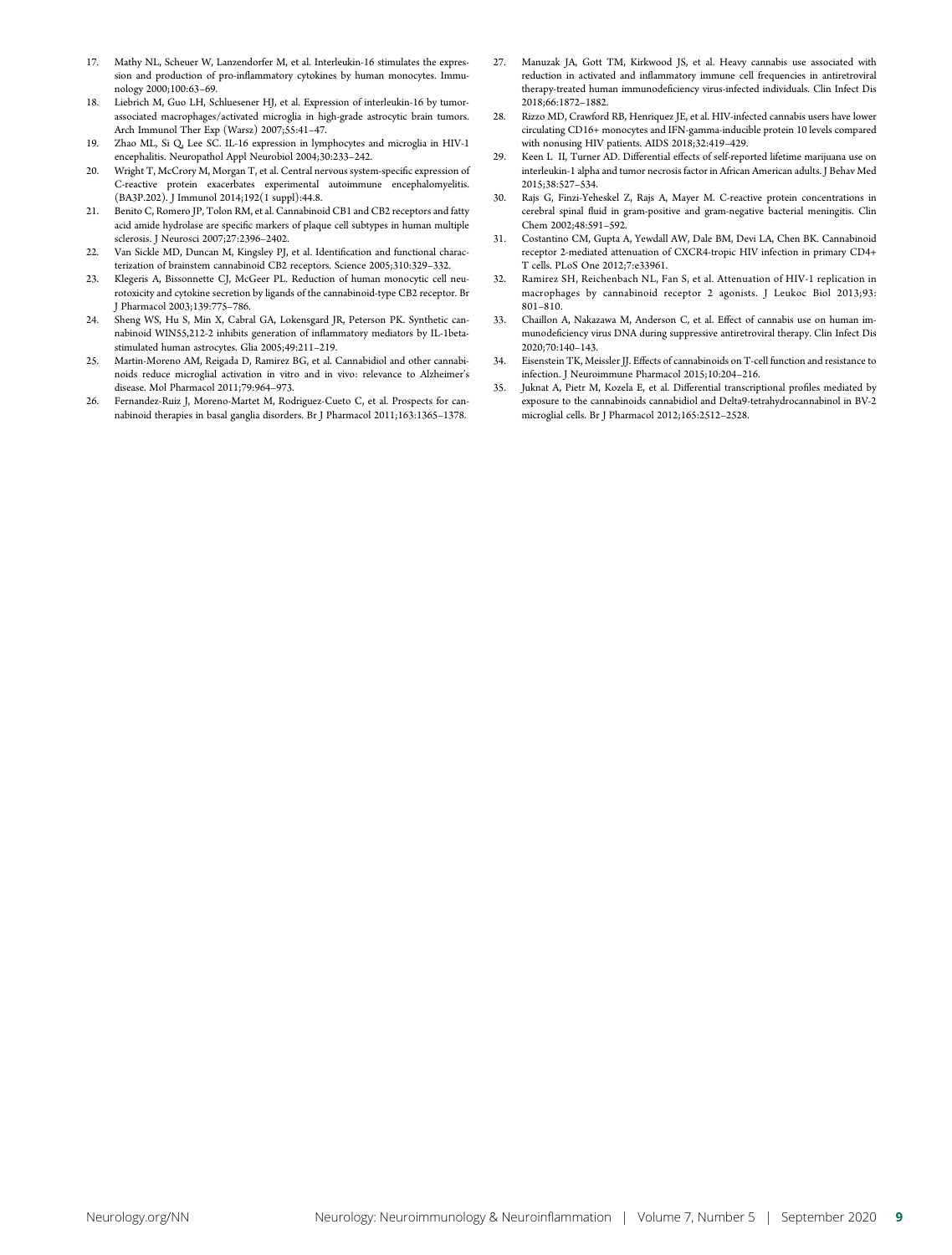- 17. Mathy NL, Scheuer W, Lanzendorfer M, et al. Interleukin-16 stimulates the expression and production of pro-inflammatory cytokines by human monocytes. Immunology 2000;100:63–69.
- 18. Liebrich M, Guo LH, Schluesener HJ, et al. Expression of interleukin-16 by tumorassociated macrophages/activated microglia in high-grade astrocytic brain tumors. Arch Immunol Ther Exp (Warsz) 2007;55:41–47.
- 19. Zhao ML, Si Q, Lee SC. IL-16 expression in lymphocytes and microglia in HIV-1 encephalitis. Neuropathol Appl Neurobiol 2004;30:233–242.
- 20. Wright T, McCrory M, Morgan T, et al. Central nervous system-specific expression of C-reactive protein exacerbates experimental autoimmune encephalomyelitis. (BA3P.202). J Immunol 2014;192(1 suppl):44.8.
- 21. Benito C, Romero JP, Tolon RM, et al. Cannabinoid CB1 and CB2 receptors and fatty acid amide hydrolase are specific markers of plaque cell subtypes in human multiple sclerosis. J Neurosci 2007;27:2396–2402.
- 22. Van Sickle MD, Duncan M, Kingsley PJ, et al. Identification and functional characterization of brainstem cannabinoid CB2 receptors. Science 2005;310:329–332.
- 23. Klegeris A, Bissonnette CJ, McGeer PL. Reduction of human monocytic cell neurotoxicity and cytokine secretion by ligands of the cannabinoid-type CB2 receptor. Br J Pharmacol 2003;139:775–786.
- 24. Sheng WS, Hu S, Min X, Cabral GA, Lokensgard JR, Peterson PK. Synthetic cannabinoid WIN55,212-2 inhibits generation of inflammatory mediators by IL-1betastimulated human astrocytes. Glia 2005;49:211–219.
- 25. Martin-Moreno AM, Reigada D, Ramirez BG, et al. Cannabidiol and other cannabinoids reduce microglial activation in vitro and in vivo: relevance to Alzheimer's disease. Mol Pharmacol 2011;79:964–973.
- 26. Fernandez-Ruiz J, Moreno-Martet M, Rodriguez-Cueto C, et al. Prospects for cannabinoid therapies in basal ganglia disorders. Br J Pharmacol 2011;163:1365–1378.
- 27. Manuzak JA, Gott TM, Kirkwood JS, et al. Heavy cannabis use associated with reduction in activated and inflammatory immune cell frequencies in antiretroviral therapy-treated human immunodeficiency virus-infected individuals. Clin Infect Dis 2018;66:1872–1882.
- 28. Rizzo MD, Crawford RB, Henriquez JE, et al. HIV-infected cannabis users have lower circulating CD16+ monocytes and IFN-gamma-inducible protein 10 levels compared with nonusing HIV patients. AIDS 2018;32:419–429.
- 29. Keen L II, Turner AD. Differential effects of self-reported lifetime marijuana use on interleukin-1 alpha and tumor necrosis factor in African American adults. J Behav Med 2015;38:527–534.
- 30. Rajs G, Finzi-Yeheskel Z, Rajs A, Mayer M. C-reactive protein concentrations in cerebral spinal fluid in gram-positive and gram-negative bacterial meningitis. Clin Chem 2002;48:591–592.
- 31. Costantino CM, Gupta A, Yewdall AW, Dale BM, Devi LA, Chen BK. Cannabinoid receptor 2-mediated attenuation of CXCR4-tropic HIV infection in primary CD4+ T cells. PLoS One 2012;7:e33961.
- 32. Ramirez SH, Reichenbach NL, Fan S, et al. Attenuation of HIV-1 replication in macrophages by cannabinoid receptor 2 agonists. J Leukoc Biol 2013;93: 801–810.
- 33. Chaillon A, Nakazawa M, Anderson C, et al. Effect of cannabis use on human immunodeficiency virus DNA during suppressive antiretroviral therapy. Clin Infect Dis 2020;70:140–143.
- 34. Eisenstein TK, Meissler II. Effects of cannabinoids on T-cell function and resistance to infection. J Neuroimmune Pharmacol 2015;10:204–216.
- 35. Juknat A, Pietr M, Kozela E, et al. Differential transcriptional profiles mediated by exposure to the cannabinoids cannabidiol and Delta9-tetrahydrocannabinol in BV-2 microglial cells. Br J Pharmacol 2012;165:2512–2528.